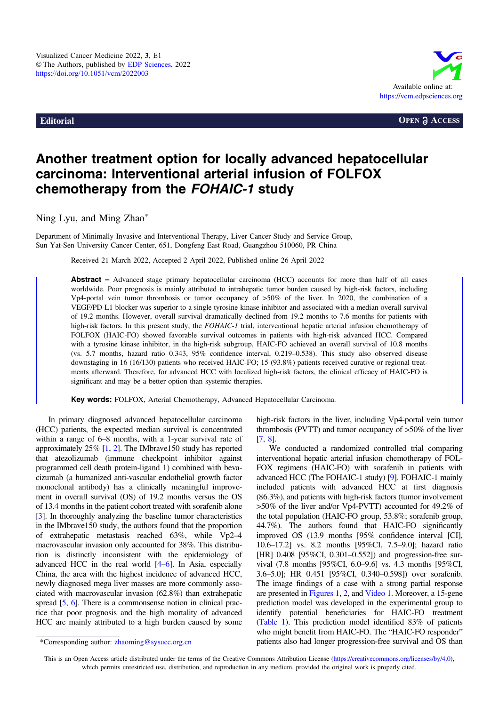

**Editorial COPEN OPEN a** ACCESS

## Another treatment option for locally advanced hepatocellular carcinoma: Interventional arterial infusion of FOLFOX chemotherapy from the FOHAIC-1 study

Ning Lyu, and Ming Zhao\*

Department of Minimally Invasive and Interventional Therapy, Liver Cancer Study and Service Group, Sun Yat-Sen University Cancer Center, 651, Dongfeng East Road, Guangzhou 510060, PR China

Received 21 March 2022, Accepted 2 April 2022, Published online 26 April 2022

Abstract – Advanced stage primary hepatocellular carcinoma (HCC) accounts for more than half of all cases worldwide. Poor prognosis is mainly attributed to intrahepatic tumor burden caused by high-risk factors, including Vp4-portal vein tumor thrombosis or tumor occupancy of >50% of the liver. In 2020, the combination of a VEGF/PD-L1 blocker was superior to a single tyrosine kinase inhibitor and associated with a median overall survival of 19.2 months. However, overall survival dramatically declined from 19.2 months to 7.6 months for patients with high-risk factors. In this present study, the FOHAIC-1 trial, interventional hepatic arterial infusion chemotherapy of FOLFOX (HAIC-FO) showed favorable survival outcomes in patients with high-risk advanced HCC. Compared with a tyrosine kinase inhibitor, in the high-risk subgroup, HAIC-FO achieved an overall survival of 10.8 months (vs. 5.7 months, hazard ratio 0.343, 95% confidence interval, 0.219–0.538). This study also observed disease downstaging in 16 (16/130) patients who received HAIC-FO; 15 (93.8%) patients received curative or regional treatments afterward. Therefore, for advanced HCC with localized high-risk factors, the clinical efficacy of HAIC-FO is significant and may be a better option than systemic therapies.

Key words: FOLFOX, Arterial Chemotherapy, Advanced Hepatocellular Carcinoma.

In primary diagnosed advanced hepatocellular carcinoma (HCC) patients, the expected median survival is concentrated within a range of 6–8 months, with a 1-year survival rate of approximately 25% [\[1](#page-2-0), [2\]](#page-2-0). The IMbrave150 study has reported that atezolizumab (immune checkpoint inhibitor against programmed cell death protein-ligand 1) combined with bevacizumab (a humanized anti-vascular endothelial growth factor monoclonal antibody) has a clinically meaningful improvement in overall survival (OS) of 19.2 months versus the OS of 13.4 months in the patient cohort treated with sorafenib alone [[3](#page-2-0)]. In thoroughly analyzing the baseline tumor characteristics in the IMbrave150 study, the authors found that the proportion of extrahepatic metastasis reached 63%, while Vp2–4 macrovascular invasion only accounted for 38%. This distribution is distinctly inconsistent with the epidemiology of advanced HCC in the real world [\[4](#page-2-0)–[6\]](#page-2-0). In Asia, especially China, the area with the highest incidence of advanced HCC, newly diagnosed mega liver masses are more commonly associated with macrovascular invasion (62.8%) than extrahepatic spread [[5,](#page-2-0) [6](#page-2-0)]. There is a commonsense notion in clinical practice that poor prognosis and the high mortality of advanced HCC are mainly attributed to a high burden caused by some

high-risk factors in the liver, including Vp4-portal vein tumor thrombosis (PVTT) and tumor occupancy of >50% of the liver [[7,](#page-2-0) [8](#page-2-0)].

We conducted a randomized controlled trial comparing interventional hepatic arterial infusion chemotherapy of FOL-FOX regimens (HAIC-FO) with sorafenib in patients with advanced HCC (The FOHAIC-1 study) [[9](#page-2-0)]. FOHAIC-1 mainly included patients with advanced HCC at first diagnosis (86.3%), and patients with high-risk factors (tumor involvement >50% of the liver and/or Vp4-PVTT) accounted for 49.2% of the total population (HAIC-FO group, 53.8%; sorafenib group, 44.7%). The authors found that HAIC-FO significantly improved OS (13.9 months [95% confidence interval [CI], 10.6–17.2] vs. 8.2 months [95%CI, 7.5–9.0]; hazard ratio [HR] 0.408 [95%CI, 0.301–0.552]) and progression-free survival (7.8 months [95%CI, 6.0–9.6] vs. 4.3 months [95%CI, 3.6–5.0]; HR 0.451 [95%CI, 0.340–0.598]) over sorafenib. The image findings of a case with a strong partial response are presented in [Figures 1](#page-1-0), [2,](#page-1-0) and [Video 1.](#page-1-0) Moreover, a 15-gene prediction model was developed in the experimental group to identify potential beneficiaries for HAIC-FO treatment ([Table 1](#page-1-0)). This prediction model identified 83% of patients who might benefit from HAIC-FO. The "HAIC-FO responder" patients also had longer progression-free survival and OS than

This is an Open Access article distributed under the terms of the Creative Commons Attribution License [\(https://creativecommons.org/licenses/by/4.0](https://creativecommons.org/licenses/by/4.0/)), which permits unrestricted use, distribution, and reproduction in any medium, provided the original work is properly cited.

<sup>\*</sup>Corresponding author: zhaoming@sysucc.org.cn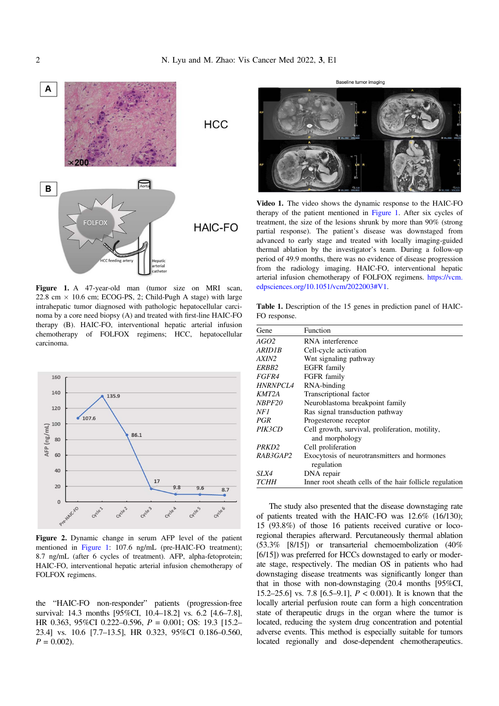<span id="page-1-0"></span>

Figure 1. A 47-year-old man (tumor size on MRI scan, 22.8 cm  $\times$  10.6 cm; ECOG-PS, 2; Child-Pugh A stage) with large intrahepatic tumor diagnosed with pathologic hepatocellular carcinoma by a core need biopsy (A) and treated with first-line HAIC-FO therapy (B). HAIC-FO, interventional hepatic arterial infusion chemotherapy of FOLFOX regimens; HCC, hepatocellular carcinoma.



Figure 2. Dynamic change in serum AFP level of the patient mentioned in Figure 1: 107.6 ng/mL (pre-HAIC-FO treatment); 8.7 ng/mL (after 6 cycles of treatment). AFP, alpha-fetoprotein; HAIC-FO, interventional hepatic arterial infusion chemotherapy of FOLFOX regimens.

the "HAIC-FO non-responder" patients (progression-free survival: 14.3 months [95%CI, 10.4–18.2] vs. 6.2 [4.6–7.8], HR 0.363, 95%CI 0.222–0.596, P = 0.001; OS: 19.3 [15.2– 23.4] vs. 10.6 [7.7–13.5], HR 0.323, 95%CI 0.186–0.560,  $P = 0.002$ .

Baseline tumor imaging

Video 1. The video shows the dynamic response to the HAIC-FO therapy of the patient mentioned in Figure 1. After six cycles of treatment, the size of the lesions shrunk by more than 90% (strong partial response). The patient's disease was downstaged from advanced to early stage and treated with locally imaging-guided thermal ablation by the investigator's team. During a follow-up period of 49.9 months, there was no evidence of disease progression from the radiology imaging. HAIC-FO, interventional hepatic arterial infusion chemotherapy of FOLFOX regimens. [https://vcm.](https://vcm.edpsciences.org/10.1051/vcm/2022003#V1) [edpsciences.org/10.1051/vcm/2022003#V1.](https://vcm.edpsciences.org/10.1051/vcm/2022003#V1)

Table 1. Description of the 15 genes in prediction panel of HAIC-FO response.

| Gene            | Function                                                   |
|-----------------|------------------------------------------------------------|
| AGO2            | RNA interference                                           |
| ARID1B          | Cell-cycle activation                                      |
| AXIN2           | Wnt signaling pathway                                      |
| ERBB2           | EGFR family                                                |
| <i>FGFR4</i>    | FGFR family                                                |
| <i>HNRNPCL4</i> | RNA-binding                                                |
| KMT2A           | Transcriptional factor                                     |
| <i>NBPF20</i>   | Neuroblastoma breakpoint family                            |
| NF1             | Ras signal transduction pathway                            |
| PGR             | Progesterone receptor                                      |
| PIK3CD          | Cell growth, survival, proliferation, motility,            |
|                 | and morphology                                             |
| PRKD2           | Cell proliferation                                         |
| RAB3GAP2        | Exocytosis of neurotransmitters and hormones<br>regulation |
| SLX4            | DNA repair                                                 |
| <i>TCHH</i>     | Inner root sheath cells of the hair follicle regulation    |

The study also presented that the disease downstaging rate of patients treated with the HAIC-FO was 12.6% (16/130); 15 (93.8%) of those 16 patients received curative or locoregional therapies afterward. Percutaneously thermal ablation (53.3% [8/15]) or transarterial chemoembolization (40% [6/15]) was preferred for HCCs downstaged to early or moderate stage, respectively. The median OS in patients who had downstaging disease treatments was significantly longer than that in those with non-downstaging (20.4 months [95%CI, 15.2–25.6] vs. 7.8 [6.5–9.1],  $P < 0.001$ ). It is known that the locally arterial perfusion route can form a high concentration state of therapeutic drugs in the organ where the tumor is located, reducing the system drug concentration and potential adverse events. This method is especially suitable for tumors located regionally and dose-dependent chemotherapeutics.